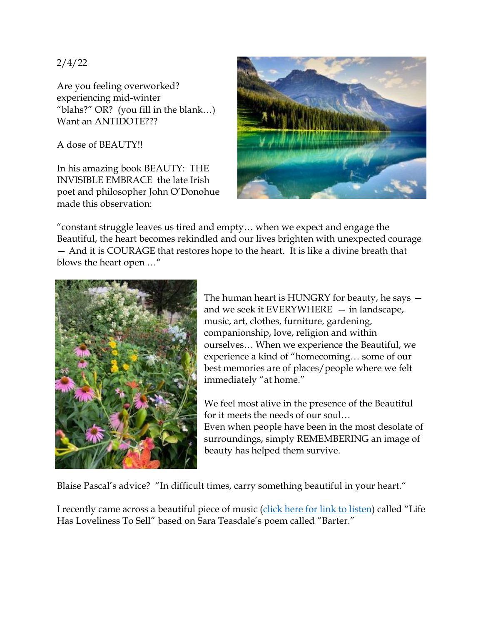2/4/22

Are you feeling overworked? experiencing mid-winter "blahs?" OR? (you fill in the blank…) Want an ANTIDOTE???

A dose of BEAUTY!!

In his amazing book BEAUTY: THE INVISIBLE EMBRACE the late Irish poet and philosopher John O'Donohue made this observation:



"constant struggle leaves us tired and empty… when we expect and engage the Beautiful, the heart becomes rekindled and our lives brighten with unexpected courage — And it is COURAGE that restores hope to the heart. It is like a divine breath that blows the heart open …"



The human heart is HUNGRY for beauty, he says and we seek it EVERYWHERE  $-$  in landscape, music, art, clothes, furniture, gardening, companionship, love, religion and within ourselves… When we experience the Beautiful, we experience a kind of "homecoming… some of our best memories are of places/people where we felt immediately "at home."

We feel most alive in the presence of the Beautiful for it meets the needs of our soul…

Even when people have been in the most desolate of surroundings, simply REMEMBERING an image of beauty has helped them survive.

Blaise Pascal's advice? "In difficult times, carry something beautiful in your heart."

I recently came across a beautiful piece of music [\(click here for link to listen](https://www.youtube.com/watch?v=p-YZXURITEw)) called "Life" Has Loveliness To Sell" based on Sara Teasdale's poem called "Barter."